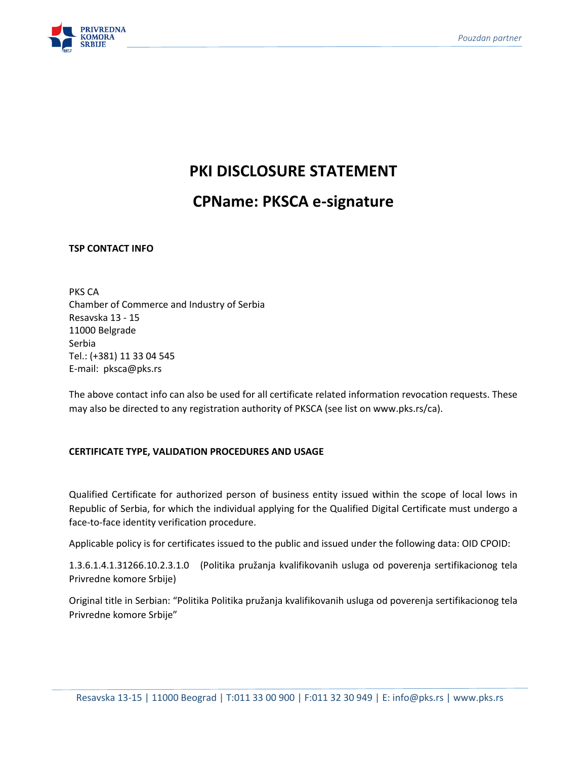

# **PKI DISCLOSURE STATEMENT**

# **CPName: PKSCA e-signature**

**TSP CONTACT INFO**

PKS CA Chamber of Commerce and Industry of Serbia Resavska 13 - 15 11000 Belgrade Serbia Tel.: (+381) 11 33 04 545 E-mail: pksca@pks.rs

The above contact info can also be used for all certificate related information revocation requests. These may also be directed to any registration authority of PKSCA (see list on www.pks.rs/ca).

## **CERTIFICATE TYPE, VALIDATION PROCEDURES AND USAGE**

Qualified Certificate for authorized person of business entity issued within the scope of local lows in Republic of Serbia, for which the individual applying for the Qualified Digital Certificate must undergo a face-to-face identity verification procedure.

Applicable policy is for certificates issued to the public and issued under the following data: OID CPOID:

1.3.6.1.4.1.31266.10.2.3.1.0 (Politika pružanja kvalifikovanih usluga od poverenja sertifikacionog tela Privredne komore Srbije)

Original title in Serbian: "Politika Politika pružanja kvalifikovanih usluga od poverenja sertifikacionog tela Privredne komore Srbije"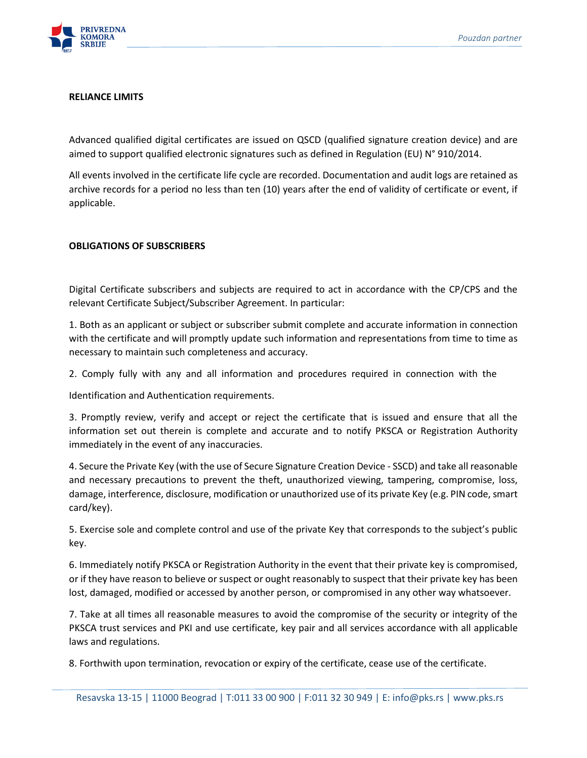

### **RELIANCE LIMITS**

Advanced qualified digital certificates are issued on QSCD (qualified signature creation device) and are aimed to support qualified electronic signatures such as defined in Regulation (EU) N° 910/2014.

All events involved in the certificate life cycle are recorded. Documentation and audit logs are retained as archive records for a period no less than ten (10) years after the end of validity of certificate or event, if applicable.

## **OBLIGATIONS OF SUBSCRIBERS**

Digital Certificate subscribers and subjects are required to act in accordance with the CP/CPS and the relevant Certificate Subject/Subscriber Agreement. In particular:

1. Both as an applicant or subject or subscriber submit complete and accurate information in connection with the certificate and will promptly update such information and representations from time to time as necessary to maintain such completeness and accuracy.

2. Comply fully with any and all information and procedures required in connection with the

Identification and Authentication requirements.

3. Promptly review, verify and accept or reject the certificate that is issued and ensure that all the information set out therein is complete and accurate and to notify PKSCA or Registration Authority immediately in the event of any inaccuracies.

4. Secure the Private Key (with the use of Secure Signature Creation Device - SSCD) and take all reasonable and necessary precautions to prevent the theft, unauthorized viewing, tampering, compromise, loss, damage, interference, disclosure, modification or unauthorized use of its private Key (e.g. PIN code, smart card/key).

5. Exercise sole and complete control and use of the private Key that corresponds to the subject's public key.

6. Immediately notify PKSCA or Registration Authority in the event that their private key is compromised, or if they have reason to believe or suspect or ought reasonably to suspect that their private key has been lost, damaged, modified or accessed by another person, or compromised in any other way whatsoever.

7. Take at all times all reasonable measures to avoid the compromise of the security or integrity of the PKSCA trust services and PKI and use certificate, key pair and all services accordance with all applicable laws and regulations.

8. Forthwith upon termination, revocation or expiry of the certificate, cease use of the certificate.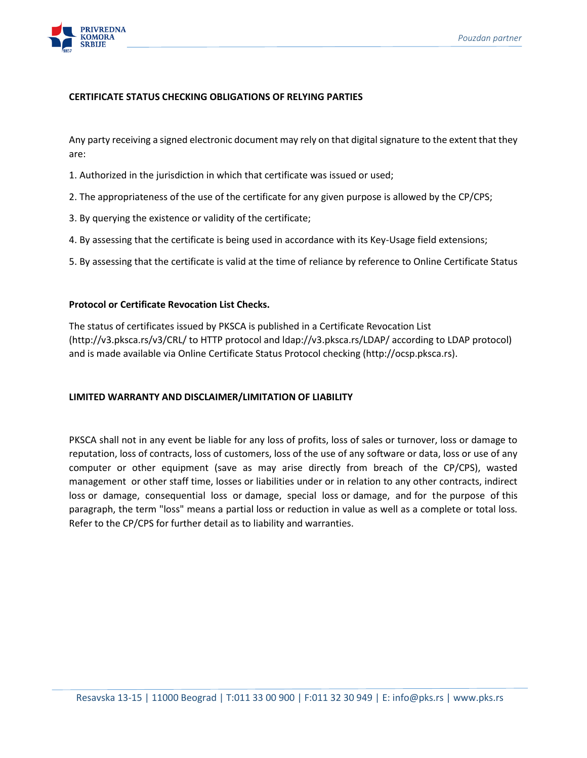

## **CERTIFICATE STATUS CHECKING OBLIGATIONS OF RELYING PARTIES**

Any party receiving a signed electronic document may rely on that digital signature to the extent that they are:

- 1. Authorized in the jurisdiction in which that certificate was issued or used;
- 2. The appropriateness of the use of the certificate for any given purpose is allowed by the CP/CPS;
- 3. By querying the existence or validity of the certificate;
- 4. By assessing that the certificate is being used in accordance with its Key-Usage field extensions;
- 5. By assessing that the certificate is valid at the time of reliance by reference to Online Certificate Status

### **Protocol or Certificate Revocation List Checks.**

The status of certificates issued by PKSCA is published in a Certificate Revocation List (http://v3.pksca.rs/v3/CRL/ to HTTP protocol and ldap://v3.pksca.rs/LDAP/ according to LDAP protocol) and is made available via Online Certificate Status Protocol checking (http://ocsp.pksca.rs).

### **LIMITED WARRANTY AND DISCLAIMER/LIMITATION OF LIABILITY**

PKSCA shall not in any event be liable for any loss of profits, loss of sales or turnover, loss or damage to reputation, loss of contracts, loss of customers, loss of the use of any software or data, loss or use of any computer or other equipment (save as may arise directly from breach of the CP/CPS), wasted management or other staff time, losses or liabilities under or in relation to any other contracts, indirect loss or damage, consequential loss or damage, special loss or damage, and for the purpose of this paragraph, the term "loss" means a partial loss or reduction in value as well as a complete or total loss. Refer to the CP/CPS for further detail as to liability and warranties.